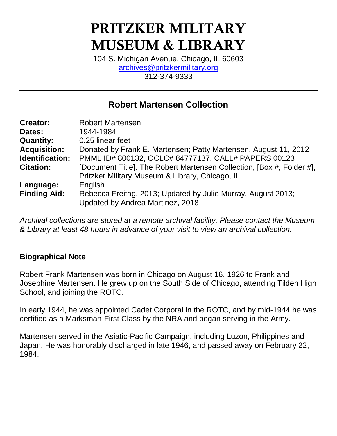# PRITZKER MILITARY MUSEUM & LIBRARY

104 S. Michigan Avenue, Chicago, IL 60603 [archives@pritzkermilitary.org](mailto:archives@pritzkermilitary.org) 312-374-9333

# **Robert Martensen Collection**

| <b>Creator:</b>     | <b>Robert Martensen</b>                                               |
|---------------------|-----------------------------------------------------------------------|
| Dates:              | 1944-1984                                                             |
| <b>Quantity:</b>    | 0.25 linear feet                                                      |
| <b>Acquisition:</b> | Donated by Frank E. Martensen; Patty Martensen, August 11, 2012       |
| Identification:     | PMML ID# 800132, OCLC# 84777137, CALL# PAPERS 00123                   |
| <b>Citation:</b>    | [Document Title]. The Robert Martensen Collection, [Box #, Folder #], |
|                     | Pritzker Military Museum & Library, Chicago, IL.                      |
| Language:           | English                                                               |
| <b>Finding Aid:</b> | Rebecca Freitag, 2013; Updated by Julie Murray, August 2013;          |
|                     | Updated by Andrea Martinez, 2018                                      |

*Archival collections are stored at a remote archival facility. Please contact the Museum & Library at least 48 hours in advance of your visit to view an archival collection.*

# **Biographical Note**

Robert Frank Martensen was born in Chicago on August 16, 1926 to Frank and Josephine Martensen. He grew up on the South Side of Chicago, attending Tilden High School, and joining the ROTC.

In early 1944, he was appointed Cadet Corporal in the ROTC, and by mid-1944 he was certified as a Marksman-First Class by the NRA and began serving in the Army.

Martensen served in the Asiatic-Pacific Campaign, including Luzon, Philippines and Japan. He was honorably discharged in late 1946, and passed away on February 22, 1984.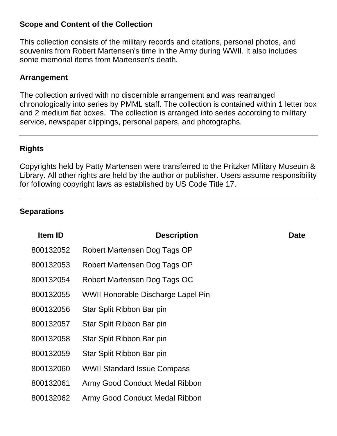#### **Scope and Content of the Collection**

This collection consists of the military records and citations, personal photos, and souvenirs from Robert Martensen's time in the Army during WWII. It also includes some memorial items from Martensen's death.

### **Arrangement**

The collection arrived with no discernible arrangement and was rearranged chronologically into series by PMML staff. The collection is contained within 1 letter box and 2 medium flat boxes. The collection is arranged into series according to military service, newspaper clippings, personal papers, and photographs.

# **Rights**

Copyrights held by Patty Martensen were transferred to the Pritzker Military Museum & Library. All other rights are held by the author or publisher. Users assume responsibility for following copyright laws as established by US Code Title 17.

# **Separations**

| <b>Item ID</b> | <b>Description</b>                 | <b>Date</b> |
|----------------|------------------------------------|-------------|
| 800132052      | Robert Martensen Dog Tags OP       |             |
| 800132053      | Robert Martensen Dog Tags OP       |             |
| 800132054      | Robert Martensen Dog Tags OC       |             |
| 800132055      | WWII Honorable Discharge Lapel Pin |             |
| 800132056      | Star Split Ribbon Bar pin          |             |
| 800132057      | Star Split Ribbon Bar pin          |             |
| 800132058      | Star Split Ribbon Bar pin          |             |
| 800132059      | Star Split Ribbon Bar pin          |             |
| 800132060      | <b>WWII Standard Issue Compass</b> |             |
| 800132061      | Army Good Conduct Medal Ribbon     |             |
| 800132062      | Army Good Conduct Medal Ribbon     |             |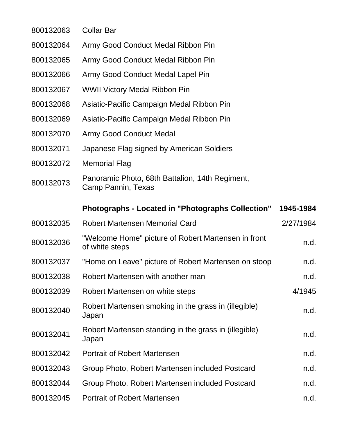| 800132063 | <b>Collar Bar</b>                                                     |           |
|-----------|-----------------------------------------------------------------------|-----------|
| 800132064 | Army Good Conduct Medal Ribbon Pin                                    |           |
| 800132065 | Army Good Conduct Medal Ribbon Pin                                    |           |
| 800132066 | Army Good Conduct Medal Lapel Pin                                     |           |
| 800132067 | <b>WWII Victory Medal Ribbon Pin</b>                                  |           |
| 800132068 | Asiatic-Pacific Campaign Medal Ribbon Pin                             |           |
| 800132069 | Asiatic-Pacific Campaign Medal Ribbon Pin                             |           |
| 800132070 | <b>Army Good Conduct Medal</b>                                        |           |
| 800132071 | Japanese Flag signed by American Soldiers                             |           |
| 800132072 | <b>Memorial Flag</b>                                                  |           |
| 800132073 | Panoramic Photo, 68th Battalion, 14th Regiment,<br>Camp Pannin, Texas |           |
|           | <b>Photographs - Located in "Photographs Collection"</b>              | 1945-1984 |
| 800132035 | <b>Robert Martensen Memorial Card</b>                                 | 2/27/1984 |
| 800132036 | "Welcome Home" picture of Robert Martensen in front<br>of white steps | n.d.      |
| 800132037 | "Home on Leave" picture of Robert Martensen on stoop                  | n.d.      |
| 800132038 | Robert Martensen with another man                                     | n.d.      |
| 800132039 | Robert Martensen on white steps                                       | 4/1945    |
| 800132040 | Robert Martensen smoking in the grass in (illegible)<br>Japan         | n.d.      |
| 800132041 | Robert Martensen standing in the grass in (illegible)<br>Japan        | n.d.      |
| 800132042 | <b>Portrait of Robert Martensen</b>                                   | n.d.      |
| 800132043 | Group Photo, Robert Martensen included Postcard                       | n.d.      |
| 800132044 | Group Photo, Robert Martensen included Postcard                       | n.d.      |
| 800132045 | <b>Portrait of Robert Martensen</b>                                   | n.d.      |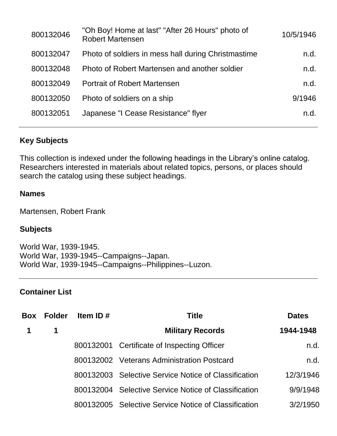| 800132046 | "Oh Boy! Home at last" "After 26 Hours" photo of<br><b>Robert Martensen</b> | 10/5/1946 |
|-----------|-----------------------------------------------------------------------------|-----------|
| 800132047 | Photo of soldiers in mess hall during Christmastime                         | n.d.      |
| 800132048 | Photo of Robert Martensen and another soldier                               | n.d.      |
| 800132049 | <b>Portrait of Robert Martensen</b>                                         | n.d.      |
| 800132050 | Photo of soldiers on a ship                                                 | 9/1946    |
| 800132051 | Japanese "I Cease Resistance" flyer                                         | n.d.      |
|           |                                                                             |           |

#### **Key Subjects**

This collection is indexed under the following headings in the Library's online catalog. Researchers interested in materials about related topics, persons, or places should search the catalog using these subject headings.

#### **Names**

Martensen, Robert Frank

#### **Subjects**

World War, 1939-1945. World War, 1939-1945--Campaigns--Japan. World War, 1939-1945--Campaigns--Philippines--Luzon.

#### **Container List**

| Box | <b>Folder</b> | Item ID $#$ | <b>Title</b>                                         | <b>Dates</b> |
|-----|---------------|-------------|------------------------------------------------------|--------------|
|     | 1             |             | <b>Military Records</b>                              | 1944-1948    |
|     |               |             | 800132001 Certificate of Inspecting Officer          | n.d.         |
|     |               |             | 800132002 Veterans Administration Postcard           | n.d.         |
|     |               |             | 800132003 Selective Service Notice of Classification | 12/3/1946    |
|     |               |             | 800132004 Selective Service Notice of Classification | 9/9/1948     |
|     |               |             | 800132005 Selective Service Notice of Classification | 3/2/1950     |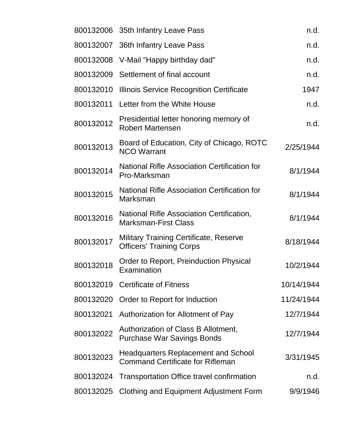|           | 800132006 35th Infantry Leave Pass                                                    | n.d.       |
|-----------|---------------------------------------------------------------------------------------|------------|
| 800132007 | 36th Infantry Leave Pass                                                              | n.d.       |
| 800132008 | V-Mail "Happy birthday dad"                                                           | n.d.       |
| 800132009 | Settlement of final account                                                           | n.d.       |
| 800132010 | Illinois Service Recognition Certificate                                              | 1947       |
| 800132011 | Letter from the White House                                                           | n.d.       |
| 800132012 | Presidential letter honoring memory of<br><b>Robert Martensen</b>                     | n.d.       |
| 800132013 | Board of Education, City of Chicago, ROTC<br><b>NCO Warrant</b>                       | 2/25/1944  |
| 800132014 | <b>National Rifle Association Certification for</b><br>Pro-Marksman                   | 8/1/1944   |
| 800132015 | <b>National Rifle Association Certification for</b><br>Marksman                       | 8/1/1944   |
| 800132016 | National Rifle Association Certification,<br><b>Marksman-First Class</b>              | 8/1/1944   |
| 800132017 | <b>Military Training Certificate, Reserve</b><br><b>Officers' Training Corps</b>      | 8/18/1944  |
| 800132018 | Order to Report, Preinduction Physical<br>Examination                                 | 10/2/1944  |
| 800132019 | <b>Certificate of Fitness</b>                                                         | 10/14/1944 |
| 800132020 | Order to Report for Induction                                                         | 11/24/1944 |
| 800132021 | Authorization for Allotment of Pay                                                    | 12/7/1944  |
| 800132022 | Authorization of Class B Allotment,<br><b>Purchase War Savings Bonds</b>              | 12/7/1944  |
| 800132023 | <b>Headquarters Replacement and School</b><br><b>Command Certificate for Rifleman</b> | 3/31/1945  |
| 800132024 | <b>Transportation Office travel confirmation</b>                                      | n.d.       |
| 800132025 | Clothing and Equipment Adjustment Form                                                | 9/9/1946   |